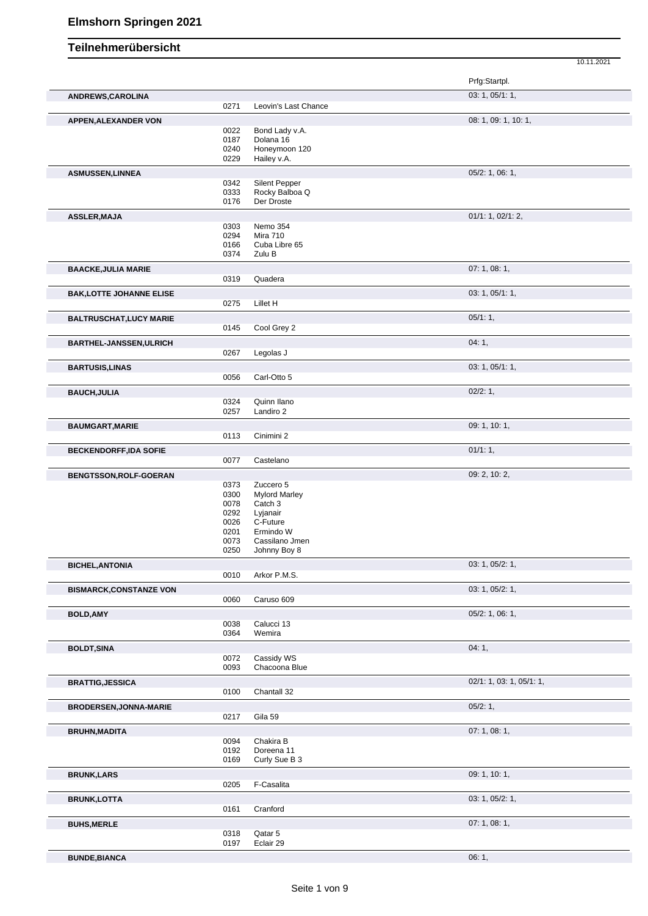|                                 |      |                      | Prfg:Startpl.            |
|---------------------------------|------|----------------------|--------------------------|
| ANDREWS, CAROLINA               |      |                      | 03: 1, 05/1: 1,          |
|                                 | 0271 | Leovin's Last Chance |                          |
|                                 |      |                      | 08: 1, 09: 1, 10: 1,     |
| <b>APPEN, ALEXANDER VON</b>     | 0022 | Bond Lady v.A.       |                          |
|                                 | 0187 | Dolana 16            |                          |
|                                 | 0240 | Honeymoon 120        |                          |
|                                 | 0229 | Hailey v.A.          |                          |
| <b>ASMUSSEN,LINNEA</b>          |      |                      | $05/2$ : 1, 06: 1,       |
|                                 | 0342 | Silent Pepper        |                          |
|                                 | 0333 | Rocky Balboa Q       |                          |
|                                 | 0176 | Der Droste           |                          |
| <b>ASSLER, MAJA</b>             |      |                      | 01/1: 1, 02/1: 2,        |
|                                 | 0303 | Nemo 354             |                          |
|                                 | 0294 | <b>Mira 710</b>      |                          |
|                                 | 0166 | Cuba Libre 65        |                          |
|                                 | 0374 | Zulu B               |                          |
| <b>BAACKE, JULIA MARIE</b>      |      |                      | 07:1,08:1,               |
|                                 | 0319 | Quadera              |                          |
| <b>BAK, LOTTE JOHANNE ELISE</b> |      |                      | 03: 1, 05/1: 1,          |
|                                 | 0275 | Lillet H             |                          |
|                                 |      |                      | 05/1:1,                  |
| <b>BALTRUSCHAT, LUCY MARIE</b>  | 0145 | Cool Grey 2          |                          |
|                                 |      |                      |                          |
| <b>BARTHEL-JANSSEN, ULRICH</b>  |      |                      | 04:1,                    |
|                                 | 0267 | Legolas J            |                          |
| <b>BARTUSIS, LINAS</b>          |      |                      | 03: 1, 05/1: 1,          |
|                                 | 0056 | Carl-Otto 5          |                          |
| <b>BAUCH, JULIA</b>             |      |                      | 02/2: 1,                 |
|                                 | 0324 | Quinn Ilano          |                          |
|                                 | 0257 | Landiro 2            |                          |
| <b>BAUMGART, MARIE</b>          |      |                      | 09: 1, 10: 1,            |
|                                 | 0113 | Cinimini 2           |                          |
| <b>BECKENDORFF,IDA SOFIE</b>    |      |                      | 01/1:1,                  |
|                                 | 0077 | Castelano            |                          |
|                                 |      |                      | 09: 2, 10: 2,            |
| BENGTSSON, ROLF-GOERAN          | 0373 | Zuccero 5            |                          |
|                                 | 0300 | <b>Mylord Marley</b> |                          |
|                                 | 0078 | Catch 3              |                          |
|                                 | 0292 | Lyjanair             |                          |
|                                 | 0026 | C-Future             |                          |
|                                 | 0201 | Ermindo W            |                          |
|                                 | 0073 | Cassilano Jmen       |                          |
|                                 | 0250 | Johnny Boy 8         |                          |
| <b>BICHEL, ANTONIA</b>          |      |                      | 03: 1, 05/2: 1,          |
|                                 | 0010 | Arkor P.M.S.         |                          |
| <b>BISMARCK, CONSTANZE VON</b>  |      |                      | 03: 1, 05/2: 1,          |
|                                 | 0060 | Caruso 609           |                          |
| <b>BOLD, AMY</b>                |      |                      | $05/2$ : 1, 06: 1,       |
|                                 | 0038 | Calucci 13           |                          |
|                                 | 0364 | Wemira               |                          |
| <b>BOLDT, SINA</b>              |      |                      | 04:1,                    |
|                                 | 0072 | Cassidy WS           |                          |
|                                 | 0093 | Chacoona Blue        |                          |
| <b>BRATTIG, JESSICA</b>         |      |                      | 02/1: 1, 03: 1, 05/1: 1, |
|                                 | 0100 | Chantall 32          |                          |
| <b>BRODERSEN, JONNA-MARIE</b>   |      |                      | 05/2:1,                  |
|                                 | 0217 | Gila 59              |                          |
|                                 |      |                      | 07: 1, 08: 1,            |
| <b>BRUHN, MADITA</b>            | 0094 | Chakira B            |                          |
|                                 | 0192 | Doreena 11           |                          |
|                                 | 0169 | Curly Sue B 3        |                          |
| <b>BRUNK,LARS</b>               |      |                      | 09: 1, 10: 1,            |
|                                 | 0205 | F-Casalita           |                          |
|                                 |      |                      |                          |
| <b>BRUNK,LOTTA</b>              | 0161 | Cranford             | 03: 1, 05/2: 1,          |
|                                 |      |                      |                          |

**BUNDE,BIANCA** 06: 1,

10.11.2021

**BUHS, MERLE** 0318 Qatar 5 07: 1, 08: 1, 08: 1, 08: 1, 08: 1, 09: 1, 09: 1, 09: 1, 09: 1, 09: 1, 09: 1, 09: 1, 09: 1, 09: 1, 09: 1, 09: 1, 09: 1, 09: 1, 09: 1, 09: 1, 09: 1, 09: 1, 09: 1, 09: 1, 09: 1, 09: 1, 09: 1, 09: 1, Qatar 5 Eclair 29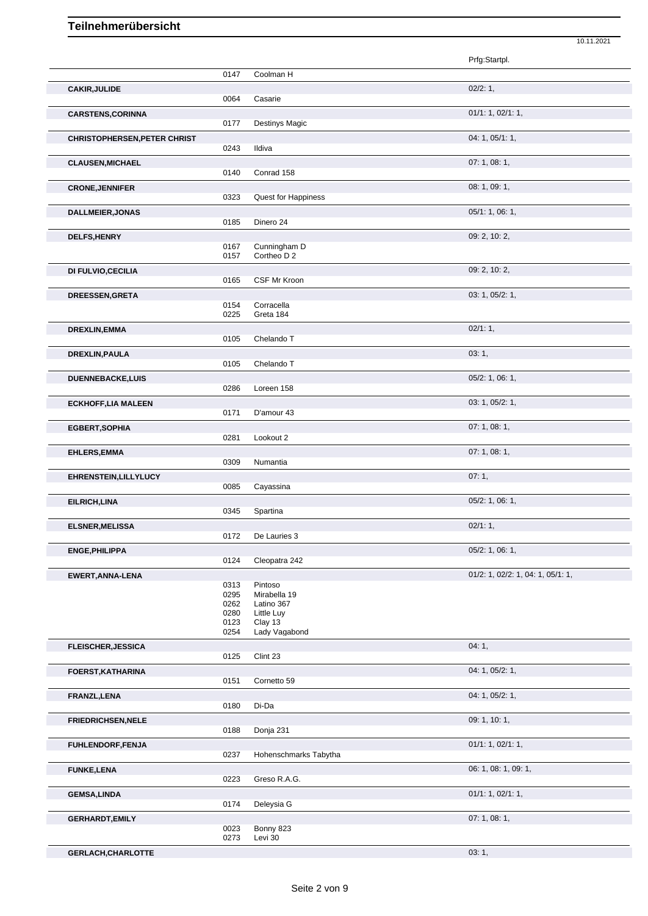|                                     |              |                          | Prfg:Startpl.                     |
|-------------------------------------|--------------|--------------------------|-----------------------------------|
|                                     | 0147         | Coolman H                |                                   |
| <b>CAKIR, JULIDE</b>                |              |                          | 02/2:1,                           |
|                                     | 0064         | Casarie                  |                                   |
| <b>CARSTENS, CORINNA</b>            |              |                          | 01/1: 1, 02/1: 1,                 |
|                                     | 0177         | <b>Destinys Magic</b>    |                                   |
| <b>CHRISTOPHERSEN, PETER CHRIST</b> |              |                          | 04: 1, 05/1: 1,                   |
|                                     | 0243         | Ildiva                   |                                   |
| <b>CLAUSEN, MICHAEL</b>             |              |                          | 07:1,08:1,                        |
|                                     | 0140         | Conrad 158               |                                   |
| <b>CRONE, JENNIFER</b>              |              |                          | 08: 1, 09: 1,                     |
|                                     | 0323         | Quest for Happiness      |                                   |
| <b>DALLMEIER, JONAS</b>             |              |                          | 05/1: 1, 06: 1,                   |
|                                     | 0185         | Dinero 24                |                                   |
| DELFS, HENRY                        |              |                          | 09: 2, 10: 2,                     |
|                                     | 0167         | Cunningham D             |                                   |
|                                     | 0157         | Cortheo D 2              |                                   |
| DI FULVIO, CECILIA                  |              |                          | 09: 2, 10: 2,                     |
|                                     | 0165         | CSF Mr Kroon             |                                   |
| DREESSEN, GRETA                     |              |                          | 03: 1, 05/2: 1,                   |
|                                     | 0154         | Corracella               |                                   |
|                                     | 0225         | Greta 184                |                                   |
| <b>DREXLIN, EMMA</b>                |              |                          | 02/1:1,                           |
|                                     | 0105         | Chelando T               |                                   |
| DREXLIN, PAULA                      |              |                          | 03:1,                             |
|                                     | 0105         | Chelando T               |                                   |
| DUENNEBACKE, LUIS                   |              |                          | 05/2: 1, 06: 1,                   |
|                                     | 0286         | Loreen 158               |                                   |
| <b>ECKHOFF, LIA MALEEN</b>          |              |                          | 03: 1, 05/2: 1,                   |
|                                     | 0171         | D'amour 43               |                                   |
| <b>EGBERT, SOPHIA</b>               |              |                          | 07:1,08:1,                        |
|                                     | 0281         | Lookout 2                |                                   |
| EHLERS, EMMA                        |              |                          | 07: 1, 08: 1,                     |
|                                     | 0309         | Numantia                 |                                   |
| <b>EHRENSTEIN, LILLYLUCY</b>        |              |                          | 07:1,                             |
|                                     | 0085         | Cayassina                |                                   |
| EILRICH, LINA                       |              |                          | 05/2: 1, 06: 1,                   |
|                                     | 0345         | Spartina                 |                                   |
| <b>ELSNER, MELISSA</b>              |              |                          | 02/1:1,                           |
|                                     | 0172         | De Lauries 3             |                                   |
| ENGE, PHILIPPA                      |              |                          | 05/2: 1, 06: 1,                   |
|                                     | 0124         | Cleopatra 242            |                                   |
| EWERT, ANNA-LENA                    |              |                          | 01/2: 1, 02/2: 1, 04: 1, 05/1: 1, |
|                                     | 0313         | Pintoso                  |                                   |
|                                     | 0295         | Mirabella 19             |                                   |
|                                     | 0262<br>0280 | Latino 367<br>Little Luy |                                   |
|                                     | 0123         | Clay 13                  |                                   |
|                                     | 0254         | Lady Vagabond            |                                   |
| <b>FLEISCHER, JESSICA</b>           |              |                          | 04:1,                             |
|                                     | 0125         | Clint 23                 |                                   |
| <b>FOERST, KATHARINA</b>            |              |                          | 04: 1, 05/2: 1,                   |
|                                     | 0151         | Cornetto 59              |                                   |
| FRANZL, LENA                        |              |                          | 04: 1, 05/2: 1,                   |
|                                     | 0180         | Di-Da                    |                                   |
| <b>FRIEDRICHSEN, NELE</b>           |              |                          | 09: 1, 10: 1,                     |
|                                     | 0188         | Donja 231                |                                   |
| FUHLENDORF,FENJA                    |              |                          | 01/1: 1, 02/1: 1,                 |
|                                     | 0237         | Hohenschmarks Tabytha    |                                   |
| <b>FUNKE,LENA</b>                   |              |                          | 06: 1, 08: 1, 09: 1,              |
|                                     | 0223         | Greso R.A.G.             |                                   |
| <b>GEMSA, LINDA</b>                 |              |                          | 01/1: 1, 02/1: 1,                 |
|                                     | 0174         | Deleysia G               |                                   |
| <b>GERHARDT, EMILY</b>              |              |                          | 07: 1, 08: 1,                     |
|                                     | 0023         | Bonny 823                |                                   |
|                                     | 0273         | Levi 30                  |                                   |

10.11.2021

**GERLACH,CHARLOTTE** 03: 1,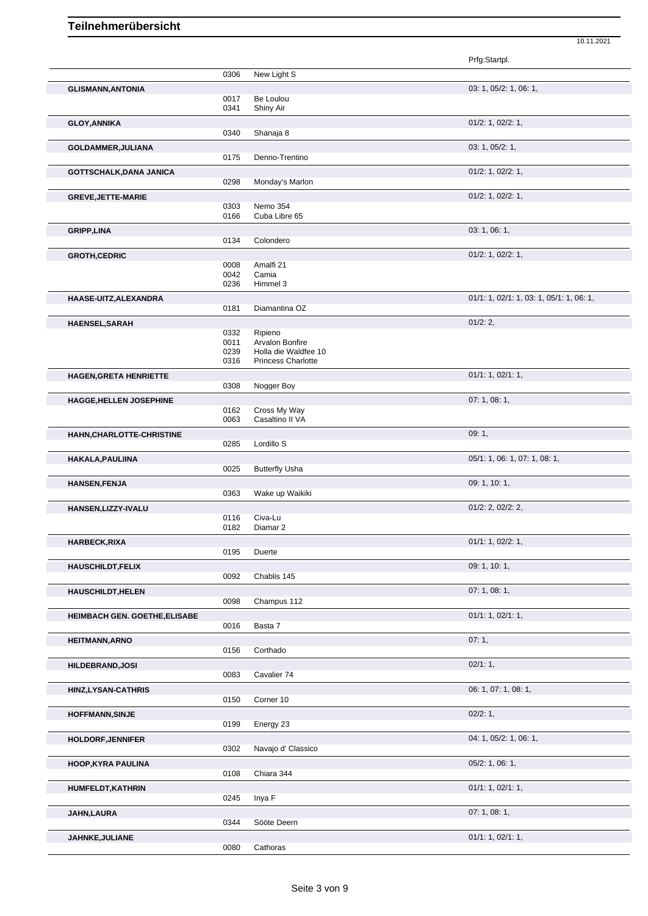|                               |              |                                 | Prfg:Startpl.                            |
|-------------------------------|--------------|---------------------------------|------------------------------------------|
|                               | 0306         | New Light S                     |                                          |
|                               |              |                                 | 03: 1, 05/2: 1, 06: 1,                   |
| <b>GLISMANN, ANTONIA</b>      | 0017         | Be Loulou                       |                                          |
|                               | 0341         | Shiny Air                       |                                          |
|                               |              |                                 | $01/2$ : 1, $02/2$ : 1,                  |
| <b>GLOY, ANNIKA</b>           | 0340         | Shanaja 8                       |                                          |
|                               |              |                                 |                                          |
| GOLDAMMER, JULIANA            |              |                                 | 03: 1, 05/2: 1,                          |
|                               | 0175         | Denno-Trentino                  |                                          |
| GOTTSCHALK, DANA JANICA       |              |                                 | 01/2: 1, 02/2: 1,                        |
|                               | 0298         | Monday's Marlon                 |                                          |
| <b>GREVE, JETTE-MARIE</b>     |              |                                 | 01/2: 1, 02/2: 1,                        |
|                               | 0303         | Nemo 354                        |                                          |
|                               | 0166         | Cuba Libre 65                   |                                          |
| <b>GRIPP,LINA</b>             |              |                                 | 03: 1, 06: 1,                            |
|                               | 0134         | Colondero                       |                                          |
| <b>GROTH, CEDRIC</b>          |              |                                 | $01/2$ : 1, $02/2$ : 1,                  |
|                               | 0008         | Amalfi 21                       |                                          |
|                               | 0042         | Camia                           |                                          |
|                               | 0236         | Himmel 3                        |                                          |
| HAASE-UITZ, ALEXANDRA         |              |                                 | 01/1: 1, 02/1: 1, 03: 1, 05/1: 1, 06: 1, |
|                               | 0181         | Diamantina OZ                   |                                          |
|                               |              |                                 |                                          |
| HAENSEL, SARAH                |              |                                 | 01/2:2                                   |
|                               | 0332<br>0011 | Ripieno<br>Arvalon Bonfire      |                                          |
|                               | 0239         | Holla die Waldfee 10            |                                          |
|                               | 0316         | <b>Princess Charlotte</b>       |                                          |
|                               |              |                                 | 01/1: 1, 02/1: 1,                        |
| <b>HAGEN, GRETA HENRIETTE</b> | 0308         | Nogger Boy                      |                                          |
|                               |              |                                 |                                          |
| HAGGE, HELLEN JOSEPHINE       |              |                                 | 07: 1, 08: 1,                            |
|                               | 0162<br>0063 | Cross My Way<br>Casaltino II VA |                                          |
|                               |              |                                 |                                          |
| HAHN, CHARLOTTE-CHRISTINE     |              |                                 | 09:1,                                    |
|                               | 0285         | Lordillo S                      |                                          |
| HAKALA, PAULIINA              |              |                                 | 05/1: 1, 06: 1, 07: 1, 08: 1,            |
|                               | 0025         | <b>Butterfly Usha</b>           |                                          |
| <b>HANSEN, FENJA</b>          |              |                                 | 09: 1, 10: 1,                            |
|                               | 0363         | Wake up Waikiki                 |                                          |
| HANSEN, LIZZY-IVALU           |              |                                 | $01/2$ : 2, $02/2$ : 2,                  |
|                               | 0116         | Civa-Lu                         |                                          |
|                               | 0182         | Diamar <sub>2</sub>             |                                          |
|                               |              |                                 | 01/1: 1, 02/2: 1,                        |
| <b>HARBECK, RIXA</b>          | 0195         | Duerte                          |                                          |
|                               |              |                                 |                                          |
| <b>HAUSCHILDT,FELIX</b>       |              |                                 | 09: 1, 10: 1,                            |
|                               | 0092         | Chablis 145                     |                                          |
| <b>HAUSCHILDT, HELEN</b>      |              |                                 | 07:1,08:1,                               |
|                               | 0098         | Champus 112                     |                                          |
| HEIMBACH GEN. GOETHE, ELISABE |              |                                 | 01/1: 1, 02/1: 1,                        |
|                               | 0016         | Basta 7                         |                                          |
|                               |              |                                 | 07:1,                                    |
| <b>HEITMANN, ARNO</b>         | 0156         | Corthado                        |                                          |
|                               |              |                                 |                                          |
| <b>HILDEBRAND, JOSI</b>       |              |                                 | 02/1:1,                                  |
|                               | 0083         | Cavalier 74                     |                                          |
| HINZ, LYSAN-CATHRIS           |              |                                 | 06: 1, 07: 1, 08: 1,                     |
|                               | 0150         | Corner 10                       |                                          |
| <b>HOFFMANN, SINJE</b>        |              |                                 | 02/2:1,                                  |
|                               | 0199         | Energy 23                       |                                          |
| <b>HOLDORF, JENNIFER</b>      |              |                                 | 04: 1, 05/2: 1, 06: 1,                   |
|                               | 0302         | Navajo d' Classico              |                                          |
|                               |              |                                 |                                          |
| <b>HOOP, KYRA PAULINA</b>     |              |                                 | $05/2$ : 1, 06: 1,                       |
|                               | 0108         | Chiara 344                      |                                          |
| HUMFELDT, KATHRIN             |              |                                 | 01/1: 1, 02/1: 1,                        |
|                               | 0245         | Inya F                          |                                          |
| <b>JAHN,LAURA</b>             |              |                                 | 07:1,08:1,                               |
|                               | 0344         | Sööte Deern                     |                                          |
|                               |              |                                 | 01/1: 1, 02/1: 1,                        |
|                               |              |                                 |                                          |
| JAHNKE, JULIANE               | 0080         | Cathoras                        |                                          |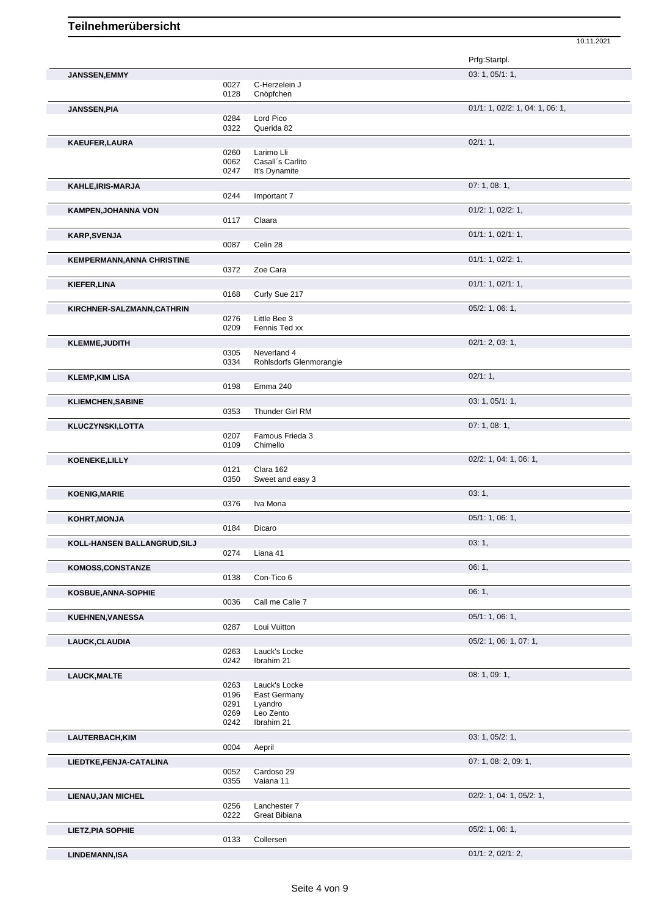JANSSEN, EMMY

10.11.2021 Prfg:Startpl.  $03: 1, 05/1: 1,$ 

|                                   | 0027<br>0128 | C-Herzelein J<br>Cnöpfchen             |                                 |
|-----------------------------------|--------------|----------------------------------------|---------------------------------|
|                                   |              |                                        | 01/1: 1, 02/2: 1, 04: 1, 06: 1, |
| <b>JANSSEN, PIA</b>               | 0284         | Lord Pico                              |                                 |
|                                   | 0322         | Querida 82                             |                                 |
| KAEUFER, LAURA                    |              |                                        | 02/1:1,                         |
|                                   | 0260         | Larimo Lli                             |                                 |
|                                   | 0062         | Casall's Carlito                       |                                 |
|                                   | 0247         | It's Dynamite                          |                                 |
| KAHLE, IRIS-MARJA                 |              |                                        | 07: 1, 08: 1,                   |
|                                   | 0244         | Important 7                            |                                 |
| <b>KAMPEN, JOHANNA VON</b>        |              |                                        | 01/2: 1, 02/2: 1,               |
|                                   | 0117         | Claara                                 |                                 |
| <b>KARP, SVENJA</b>               |              |                                        | 01/1: 1, 02/1: 1,               |
|                                   | 0087         | Celin 28                               |                                 |
| <b>KEMPERMANN, ANNA CHRISTINE</b> |              |                                        | 01/1: 1, 02/2: 1,               |
|                                   | 0372         | Zoe Cara                               |                                 |
| KIEFER, LINA                      |              |                                        | 01/1: 1, 02/1: 1,               |
|                                   | 0168         | Curly Sue 217                          |                                 |
| KIRCHNER-SALZMANN, CATHRIN        |              |                                        | 05/2: 1, 06: 1,                 |
|                                   | 0276         | Little Bee 3                           |                                 |
|                                   | 0209         | Fennis Ted xx                          |                                 |
| <b>KLEMME, JUDITH</b>             |              |                                        | 02/1: 2, 03: 1,                 |
|                                   | 0305<br>0334 | Neverland 4<br>Rohlsdorfs Glenmorangie |                                 |
|                                   |              |                                        | 02/1:1,                         |
| <b>KLEMP, KIM LISA</b>            | 0198         | Emma 240                               |                                 |
|                                   |              |                                        | 03: 1, 05/1: 1,                 |
| <b>KLIEMCHEN, SABINE</b>          | 0353         | Thunder Girl RM                        |                                 |
|                                   |              |                                        | 07:1,08:1,                      |
| KLUCZYNSKI,LOTTA                  | 0207         | Famous Frieda 3                        |                                 |
|                                   | 0109         | Chimello                               |                                 |
| KOENEKE, LILLY                    |              |                                        | 02/2: 1, 04: 1, 06: 1,          |
|                                   | 0121         | Clara 162                              |                                 |
|                                   | 0350         | Sweet and easy 3                       |                                 |
| <b>KOENIG, MARIE</b>              |              |                                        | 03:1,                           |
|                                   | 0376         | Iva Mona                               |                                 |
| KOHRT, MONJA                      |              |                                        | 05/1: 1, 06: 1,                 |
|                                   | 0184         | Dicaro                                 |                                 |
| KOLL-HANSEN BALLANGRUD, SILJ      |              |                                        | 03:1,                           |
|                                   | 0274         | Liana 41                               |                                 |
| KOMOSS, CONSTANZE                 |              |                                        | 06:1,                           |
|                                   | 0138         | Con-Tico 6                             |                                 |
| KOSBUE, ANNA-SOPHIE               |              |                                        | 06:1,                           |
|                                   | 0036         | Call me Calle 7                        |                                 |
| <b>KUEHNEN, VANESSA</b>           |              |                                        | 05/1: 1, 06: 1,                 |
|                                   | 0287         | Loui Vuitton                           |                                 |
| LAUCK, CLAUDIA                    |              |                                        | 05/2: 1, 06: 1, 07: 1,          |
|                                   | 0263         | Lauck's Locke                          |                                 |
|                                   | 0242         | Ibrahim 21                             |                                 |
| <b>LAUCK, MALTE</b>               |              |                                        | 08: 1, 09: 1,                   |
|                                   | 0263<br>0196 | Lauck's Locke<br>East Germany          |                                 |
|                                   | 0291         | Lyandro                                |                                 |
|                                   | 0269         | Leo Zento                              |                                 |
|                                   | 0242         | Ibrahim 21                             |                                 |
| LAUTERBACH, KIM                   |              |                                        | 03: 1, 05/2: 1,                 |
|                                   | 0004         | Aepril                                 |                                 |
| LIEDTKE, FENJA-CATALINA           |              |                                        | 07: 1, 08: 2, 09: 1,            |
|                                   | 0052<br>0355 | Cardoso 29<br>Vaiana 11                |                                 |
|                                   |              |                                        |                                 |
| <b>LIENAU, JAN MICHEL</b>         | 0256         | Lanchester 7                           | 02/2: 1, 04: 1, 05/2: 1,        |
|                                   | 0222         | Great Bibiana                          |                                 |
| <b>LIETZ, PIA SOPHIE</b>          |              |                                        | 05/2: 1, 06: 1,                 |
|                                   | 0133         | Collersen                              |                                 |
| <b>LINDEMANN,ISA</b>              |              |                                        | 01/1: 2, 02/1: 2,               |
|                                   |              |                                        |                                 |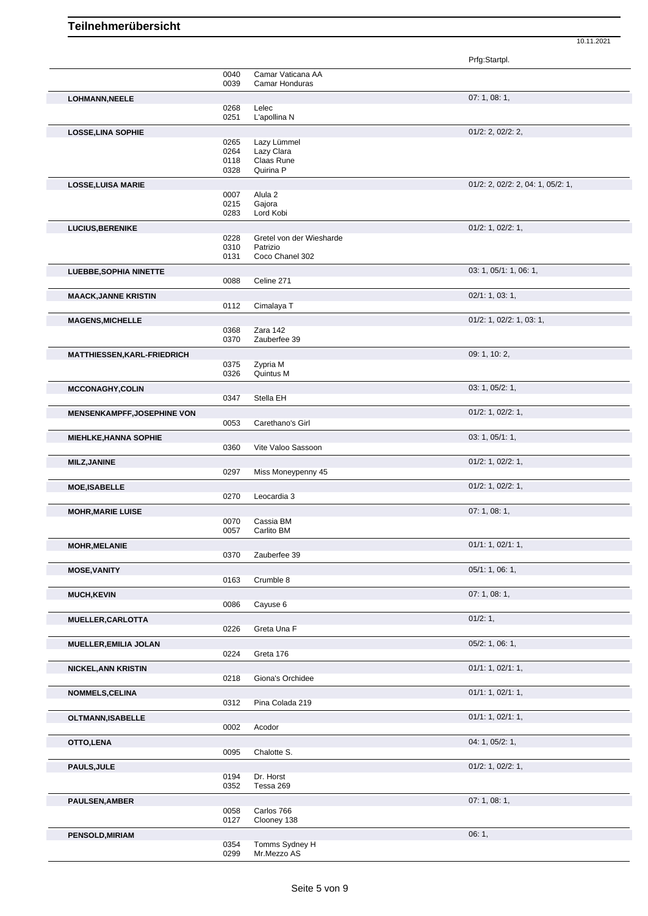|                                    |              |                                     | Prfg:Startpl.                     |
|------------------------------------|--------------|-------------------------------------|-----------------------------------|
|                                    | 0040<br>0039 | Camar Vaticana AA<br>Camar Honduras |                                   |
|                                    |              |                                     |                                   |
| <b>LOHMANN, NEELE</b>              | 0268         | Lelec                               | 07: 1, 08: 1,                     |
|                                    | 0251         | L'apollina N                        |                                   |
| <b>LOSSE, LINA SOPHIE</b>          |              |                                     | $01/2$ : 2, $02/2$ : 2,           |
|                                    | 0265         | Lazy Lümmel                         |                                   |
|                                    | 0264<br>0118 | Lazy Clara<br>Claas Rune            |                                   |
|                                    | 0328         | Quirina P                           |                                   |
| <b>LOSSE, LUISA MARIE</b>          |              |                                     | 01/2: 2, 02/2: 2, 04: 1, 05/2: 1, |
|                                    | 0007         | Alula <sub>2</sub>                  |                                   |
|                                    | 0215         | Gajora                              |                                   |
|                                    | 0283         | Lord Kobi                           |                                   |
| <b>LUCIUS, BERENIKE</b>            | 0228         | Gretel von der Wiesharde            | 01/2: 1, 02/2: 1,                 |
|                                    | 0310         | Patrizio                            |                                   |
|                                    | 0131         | Coco Chanel 302                     |                                   |
| LUEBBE, SOPHIA NINETTE             |              |                                     | 03: 1, 05/1: 1, 06: 1,            |
|                                    | 0088         | Celine 271                          |                                   |
| <b>MAACK, JANNE KRISTIN</b>        |              |                                     | 02/1: 1, 03: 1,                   |
|                                    | 0112         | Cimalaya T                          |                                   |
| <b>MAGENS, MICHELLE</b>            |              |                                     | 01/2: 1, 02/2: 1, 03: 1,          |
|                                    | 0368<br>0370 | Zara 142<br>Zauberfee 39            |                                   |
| <b>MATTHIESSEN, KARL-FRIEDRICH</b> |              |                                     | 09: 1, 10: 2,                     |
|                                    | 0375         | Zypria M                            |                                   |
|                                    | 0326         | Quintus M                           |                                   |
| <b>MCCONAGHY,COLIN</b>             |              |                                     | 03: 1, 05/2: 1,                   |
|                                    | 0347         | Stella EH                           |                                   |
| <b>MENSENKAMPFF, JOSEPHINE VON</b> |              |                                     | $01/2$ : 1, 02/2: 1,              |
|                                    | 0053         | Carethano's Girl                    |                                   |
| <b>MIEHLKE, HANNA SOPHIE</b>       |              |                                     | 03: 1, 05/1: 1,                   |
|                                    | 0360         | Vite Valoo Sassoon                  |                                   |
| <b>MILZ, JANINE</b>                |              |                                     | $01/2$ : 1, 02/2: 1,              |
|                                    | 0297         | Miss Moneypenny 45                  |                                   |
| <b>MOE, ISABELLE</b>               |              |                                     | $01/2$ : 1, 02/2: 1,              |
|                                    | 0270         | Leocardia 3                         |                                   |
| <b>MOHR, MARIE LUISE</b>           | 0070         | Cassia BM                           | 07: 1, 08: 1,                     |
|                                    | 0057         | Carlito BM                          |                                   |
| <b>MOHR, MELANIE</b>               |              |                                     | 01/1: 1, 02/1: 1,                 |
|                                    | 0370         | Zauberfee 39                        |                                   |
| <b>MOSE, VANITY</b>                |              |                                     | 05/1: 1, 06: 1,                   |
|                                    | 0163         | Crumble 8                           |                                   |
| <b>MUCH, KEVIN</b>                 |              |                                     | 07: 1, 08: 1,                     |
|                                    | 0086         | Cayuse 6                            |                                   |
| MUELLER, CARLOTTA                  |              |                                     | 01/2: 1,                          |
|                                    | 0226         | Greta Una F                         |                                   |
| <b>MUELLER, EMILIA JOLAN</b>       |              |                                     | 05/2: 1, 06: 1,                   |
|                                    | 0224         | Greta 176                           |                                   |
| <b>NICKEL, ANN KRISTIN</b>         |              |                                     | 01/1: 1, 02/1: 1,                 |
|                                    | 0218         | Giona's Orchidee                    |                                   |
| <b>NOMMELS, CELINA</b>             | 0312         | Pina Colada 219                     | 01/1: 1, 02/1: 1,                 |
|                                    |              |                                     |                                   |
| OLTMANN, ISABELLE                  | 0002         | Acodor                              | 01/1: 1, 02/1: 1,                 |
| OTTO, LENA                         |              |                                     | 04: 1, 05/2: 1,                   |
|                                    | 0095         | Chalotte S.                         |                                   |
| <b>PAULS, JULE</b>                 |              |                                     | $01/2$ : 1, $02/2$ : 1,           |
|                                    | 0194         | Dr. Horst                           |                                   |
|                                    | 0352         | Tessa 269                           |                                   |
| <b>PAULSEN, AMBER</b>              |              |                                     | 07: 1, 08: 1,                     |
|                                    | 0058         | Carlos 766                          |                                   |
|                                    |              |                                     |                                   |
|                                    | 0127         | Clooney 138                         |                                   |
| <b>PENSOLD, MIRIAM</b>             | 0354         | Tomms Sydney H                      | 06:1,                             |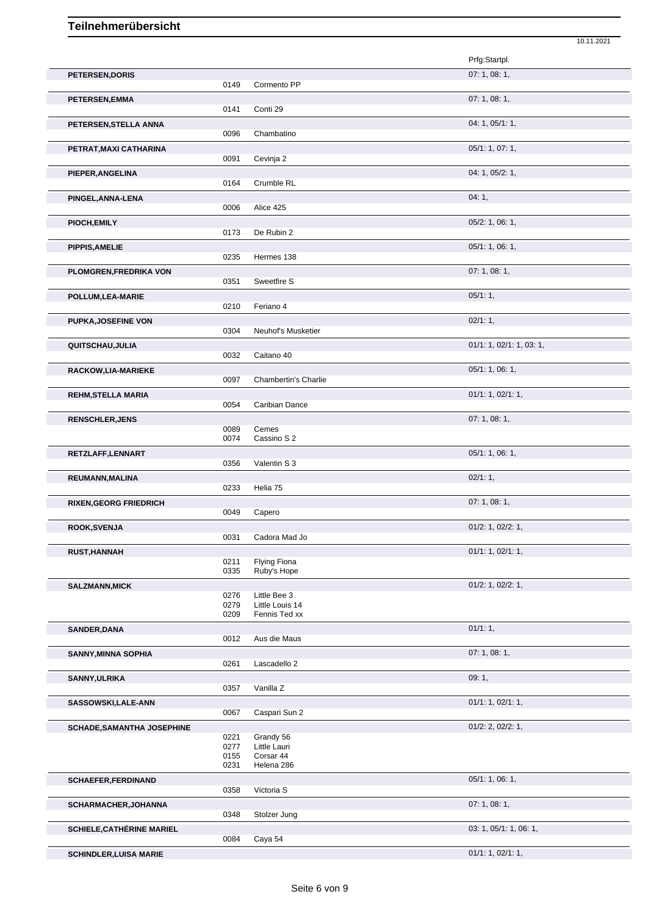|                                   |              |                             | 10.11.2021               |
|-----------------------------------|--------------|-----------------------------|--------------------------|
|                                   |              |                             | Prfg:Startpl.            |
| PETERSEN, DORIS                   |              |                             | 07:1,08:1,               |
|                                   | 0149         | Cormento PP                 |                          |
| PETERSEN, EMMA                    |              |                             | 07:1,08:1,               |
|                                   | 0141         | Conti 29                    |                          |
| PETERSEN, STELLA ANNA             | 0096         | Chambatino                  | 04: 1, 05/1: 1,          |
| PETRAT, MAXI CATHARINA            |              |                             | 05/1: 1, 07: 1,          |
|                                   | 0091         | Cevinja 2                   |                          |
| PIEPER, ANGELINA                  |              |                             | 04: 1, 05/2: 1,          |
|                                   | 0164         | Crumble RL                  |                          |
| PINGEL, ANNA-LENA                 |              |                             | 04:1,                    |
|                                   | 0006         | Alice 425                   |                          |
| PIOCH, EMILY                      | 0173         | De Rubin 2                  | $05/2$ : 1, 06: 1,       |
|                                   |              |                             | 05/1: 1, 06: 1,          |
| <b>PIPPIS, AMELIE</b>             | 0235         | Hermes 138                  |                          |
| PLOMGREN, FREDRIKA VON            |              |                             | 07: 1, 08: 1,            |
|                                   | 0351         | Sweetfire S                 |                          |
| POLLUM, LEA-MARIE                 |              |                             | 05/1:1,                  |
|                                   | 0210         | Feriano 4                   |                          |
| PUPKA, JOSEFINE VON               |              |                             | 02/1:1,                  |
|                                   | 0304         | Neuhof's Musketier          |                          |
| QUITSCHAU, JULIA                  | 0032         | Caitano 40                  | 01/1: 1, 02/1: 1, 03: 1, |
| RACKOW,LIA-MARIEKE                |              |                             | 05/1: 1, 06: 1,          |
|                                   | 0097         | <b>Chambertin's Charlie</b> |                          |
| <b>REHM, STELLA MARIA</b>         |              |                             | 01/1: 1, 02/1: 1,        |
|                                   | 0054         | Caribian Dance              |                          |
| <b>RENSCHLER, JENS</b>            |              |                             | 07:1,08:1,               |
|                                   | 0089<br>0074 | Cemes<br>Cassino S 2        |                          |
| RETZLAFF, LENNART                 |              |                             | 05/1: 1, 06: 1,          |
|                                   | 0356         | Valentin S 3                |                          |
| REUMANN, MALINA                   |              |                             | 02/1:1,                  |
|                                   | 0233         | Helia 75                    |                          |
| <b>RIXEN, GEORG FRIEDRICH</b>     |              |                             | 07:1,08:1,               |
|                                   | 0049         | Capero                      |                          |
| ROOK, SVENJA                      | 0031         | Cadora Mad Jo               | $01/2$ : 1, $02/2$ : 1,  |
| <b>RUST, HANNAH</b>               |              |                             | 01/1: 1, 02/1: 1,        |
|                                   | 0211         | Flying Fiona                |                          |
|                                   | 0335         | Ruby's Hope                 |                          |
| <b>SALZMANN, MICK</b>             | 0276         | Little Bee 3                | $01/2$ : 1, $02/2$ : 1,  |
|                                   | 0279         | Little Louis 14             |                          |
|                                   | 0209         | Fennis Ted xx               |                          |
| <b>SANDER, DANA</b>               | 0012         | Aus die Maus                | 01/1:1,                  |
|                                   |              |                             | 07: 1, 08: 1,            |
| <b>SANNY, MINNA SOPHIA</b>        | 0261         | Lascadello 2                |                          |
| SANNY, ULRIKA                     |              |                             | 09:1,                    |
|                                   | 0357         | Vanilla Z                   |                          |
| SASSOWSKI,LALE-ANN                |              |                             | 01/1: 1, 02/1: 1,        |
|                                   | 0067         | Caspari Sun 2               |                          |
| <b>SCHADE, SAMANTHA JOSEPHINE</b> |              |                             | $01/2$ : 2, $02/2$ : 1,  |
|                                   | 0221<br>0277 | Grandy 56<br>Little Lauri   |                          |
|                                   | 0155         | Corsar 44                   |                          |
|                                   | 0231         | Helena 286                  |                          |
| <b>SCHAEFER, FERDINAND</b>        | 0358         | Victoria S                  | 05/1: 1, 06: 1,          |
|                                   |              |                             | 07:1,08:1,               |
| SCHARMACHER, JOHANNA              | 0348         | Stolzer Jung                |                          |
| <b>SCHIELE, CATHÉRINE MARIEL</b>  |              |                             | 03: 1, 05/1: 1, 06: 1,   |
|                                   | 0084         | Caya 54                     |                          |
| <b>SCHINDLER, LUISA MARIE</b>     |              |                             | 01/1: 1, 02/1: 1,        |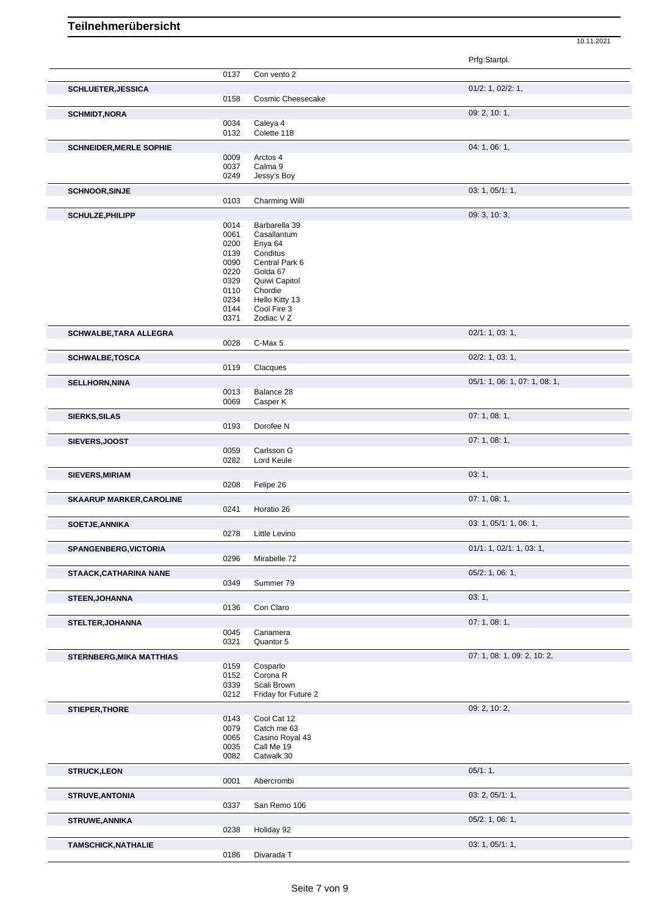|                                 |              |                                    | Prfg:Startpl.                 |
|---------------------------------|--------------|------------------------------------|-------------------------------|
|                                 | 0137         | Con vento 2                        |                               |
| <b>SCHLUETER, JESSICA</b>       |              |                                    | $01/2$ : 1, $02/2$ : 1,       |
|                                 | 0158         | Cosmic Cheesecake                  |                               |
|                                 |              |                                    |                               |
| <b>SCHMIDT, NORA</b>            | 0034         | Caleya 4                           | 09: 2, 10: 1,                 |
|                                 | 0132         | Colette 118                        |                               |
|                                 |              |                                    | 04: 1, 06: 1,                 |
| <b>SCHNEIDER, MERLE SOPHIE</b>  | 0009         | Arctos 4                           |                               |
|                                 | 0037         | Calma 9                            |                               |
|                                 | 0249         | Jessy's Boy                        |                               |
| <b>SCHNOOR, SINJE</b>           |              |                                    | 03: 1, 05/1: 1,               |
|                                 | 0103         | Charming Willi                     |                               |
| SCHULZE, PHILIPP                |              |                                    | 09: 3, 10: 3,                 |
|                                 | 0014         | Barbarella 39                      |                               |
|                                 | 0061         | Casallantum                        |                               |
|                                 | 0200         | Enya 64                            |                               |
|                                 | 0139         | Conditus                           |                               |
|                                 | 0090<br>0220 | Central Park 6<br>Golda 67         |                               |
|                                 | 0329         | Quiwi Capitol                      |                               |
|                                 | 0110         | Chordie                            |                               |
|                                 | 0234         | Hello Kitty 13                     |                               |
|                                 | 0144<br>0371 | Cool Fire 3<br>Zodiac V Z          |                               |
|                                 |              |                                    |                               |
| SCHWALBE, TARA ALLEGRA          | 0028         | C-Max 5                            | 02/1: 1, 03: 1,               |
|                                 |              |                                    |                               |
| <b>SCHWALBE,TOSCA</b>           |              |                                    | $02/2$ : 1, 03: 1,            |
|                                 | 0119         | Clacques                           |                               |
| <b>SELLHORN, NINA</b>           |              |                                    | 05/1: 1, 06: 1, 07: 1, 08: 1, |
|                                 | 0013         | Balance 28                         |                               |
|                                 | 0069         | Casper K                           |                               |
| <b>SIERKS, SILAS</b>            |              |                                    | 07: 1, 08: 1,                 |
|                                 | 0193         | Dorofee N                          |                               |
| SIEVERS, JOOST                  |              |                                    | 07:1,08:1,                    |
|                                 | 0059         | Carlsson G                         |                               |
|                                 | 0282         | Lord Keule                         |                               |
| SIEVERS, MIRIAM                 |              |                                    | 03:1,                         |
|                                 | 0208         | Felipe 26                          |                               |
| <b>SKAARUP MARKER, CAROLINE</b> |              |                                    | 07:1,08:1,                    |
|                                 | 0241         | Horatio 26                         |                               |
| <b>SOETJE, ANNIKA</b>           |              |                                    | 03: 1, 05/1: 1, 06: 1,        |
|                                 | 0278         | Little Levino                      |                               |
| <b>SPANGENBERG, VICTORIA</b>    |              |                                    | 01/1: 1, 02/1: 1, 03: 1,      |
|                                 | 0296         | Mirabelle 72                       |                               |
| <b>STAACK, CATHARINA NANE</b>   |              |                                    | 05/2: 1, 06: 1,               |
|                                 | 0349         | Summer 79                          |                               |
| STEEN, JOHANNA                  |              |                                    | 03:1,                         |
|                                 | 0136         | Con Claro                          |                               |
| <b>STELTER, JOHANNA</b>         |              |                                    | 07:1,08:1,                    |
|                                 | 0045         | Canamera                           |                               |
|                                 | 0321         | Quantor 5                          |                               |
| <b>STERNBERG, MIKA MATTHIAS</b> |              |                                    | 07: 1, 08: 1, 09: 2, 10: 2,   |
|                                 | 0159         | Cosparlo                           |                               |
|                                 | 0152         | Corona <sub>R</sub>                |                               |
|                                 | 0339<br>0212 | Scali Brown<br>Friday for Future 2 |                               |
|                                 |              |                                    |                               |
| <b>STIEPER, THORE</b>           | 0143         | Cool Cat 12                        | 09: 2, 10: 2,                 |
|                                 | 0079         | Catch me 63                        |                               |
|                                 | 0065         | Casino Royal 43                    |                               |
|                                 | 0035         | Call Me 19                         |                               |
|                                 | 0082         | Catwalk 30                         |                               |
| <b>STRUCK,LEON</b>              |              |                                    | 05/1:1,                       |
|                                 | 0001         | Abercrombi                         |                               |
| <b>STRUVE, ANTONIA</b>          |              |                                    | 03: 2, 05/1: 1,               |
|                                 | 0337         | San Remo 106                       |                               |
| <b>STRUWE, ANNIKA</b>           |              |                                    | 05/2: 1, 06: 1,               |
|                                 | 0238         | Holiday 92                         |                               |
| <b>TAMSCHICK, NATHALIE</b>      |              |                                    | 03: 1, 05/1: 1,               |
|                                 | 0186         | Divarada T                         |                               |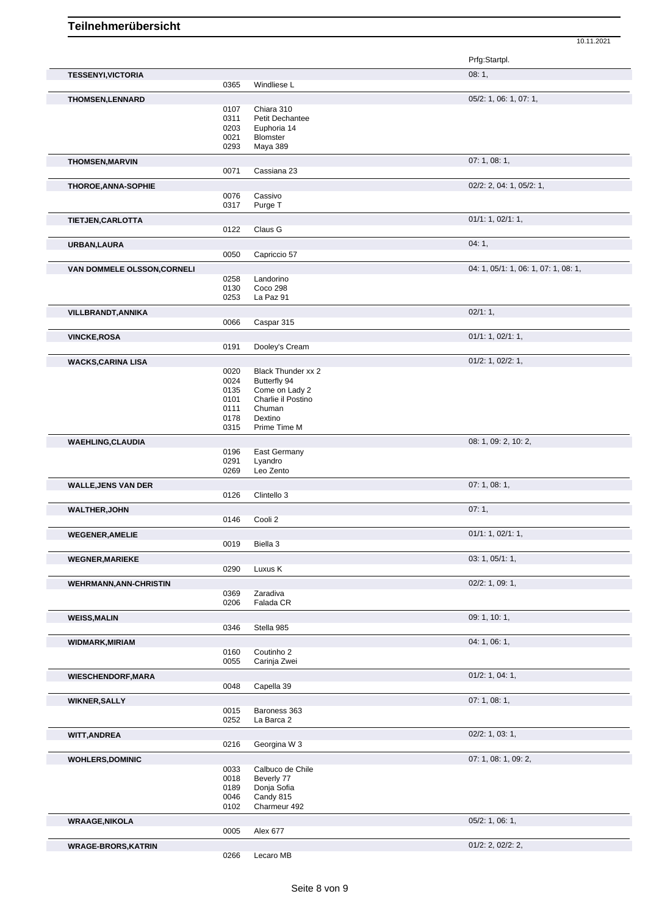|                                    |              |                               | Prfg:Startpl.                        |
|------------------------------------|--------------|-------------------------------|--------------------------------------|
| <b>TESSENYI, VICTORIA</b>          |              |                               | 08:1,                                |
|                                    | 0365         | Windliese L                   |                                      |
| <b>THOMSEN,LENNARD</b>             |              |                               | 05/2: 1, 06: 1, 07: 1,               |
|                                    | 0107<br>0311 | Chiara 310<br>Petit Dechantee |                                      |
|                                    | 0203         | Euphoria 14                   |                                      |
|                                    | 0021         | Blomster                      |                                      |
|                                    | 0293         | Maya 389                      |                                      |
| <b>THOMSEN, MARVIN</b>             |              |                               | 07:1,08:1,                           |
|                                    | 0071         | Cassiana 23                   |                                      |
| <b>THOROE, ANNA-SOPHIE</b>         |              |                               | 02/2: 2, 04: 1, 05/2: 1,             |
|                                    | 0076         | Cassivo                       |                                      |
|                                    | 0317         | Purge T                       |                                      |
| <b>TIETJEN,CARLOTTA</b>            |              |                               | 01/1: 1, 02/1: 1,                    |
|                                    | 0122         | Claus G                       |                                      |
| URBAN, LAURA                       |              |                               | 04:1,                                |
|                                    | 0050         | Capriccio 57                  |                                      |
| <b>VAN DOMMELE OLSSON, CORNELI</b> |              |                               | 04: 1, 05/1: 1, 06: 1, 07: 1, 08: 1, |
|                                    | 0258         | Landorino                     |                                      |
|                                    | 0130         | Coco 298                      |                                      |
|                                    | 0253         | La Paz 91                     |                                      |
| VILLBRANDT, ANNIKA                 |              |                               | 02/1:1,                              |
|                                    | 0066         | Caspar 315                    |                                      |
| <b>VINCKE, ROSA</b>                |              |                               | 01/1: 1, 02/1: 1,                    |
|                                    | 0191         | Dooley's Cream                |                                      |
| <b>WACKS,CARINA LISA</b>           |              |                               | 01/2: 1, 02/2: 1,                    |
|                                    | 0020         | Black Thunder xx 2            |                                      |
|                                    | 0024         | Butterfly 94                  |                                      |
|                                    | 0135         | Come on Lady 2                |                                      |
|                                    | 0101         | Charlie il Postino            |                                      |
|                                    | 0111<br>0178 | Chuman<br>Dextino             |                                      |
|                                    | 0315         | Prime Time M                  |                                      |
|                                    |              |                               |                                      |
| <b>WAEHLING, CLAUDIA</b>           | 0196         | East Germany                  | 08: 1, 09: 2, 10: 2,                 |
|                                    | 0291         | Lyandro                       |                                      |
|                                    | 0269         | Leo Zento                     |                                      |
| <b>WALLE, JENS VAN DER</b>         |              |                               | 07:1,08:1,                           |
|                                    | 0126         | Clintello 3                   |                                      |
| <b>WALTHER, JOHN</b>               |              |                               | 07:1,                                |
|                                    | 0146         | Cooli 2                       |                                      |
| <b>WEGENER, AMELIE</b>             |              |                               | 01/1: 1, 02/1: 1,                    |
|                                    | 0019         | Biella 3                      |                                      |
|                                    |              |                               | 03: 1, 05/1: 1,                      |
| <b>WEGNER, MARIEKE</b>             | 0290         | Luxus K                       |                                      |
|                                    |              |                               | $02/2$ : 1, 09: 1,                   |
| <b>WEHRMANN, ANN-CHRISTIN</b>      | 0369         | Zaradiva                      |                                      |
|                                    | 0206         | Falada CR                     |                                      |
| <b>WEISS, MALIN</b>                |              |                               | 09: 1, 10: 1,                        |
|                                    | 0346         | Stella 985                    |                                      |
| <b>WIDMARK, MIRIAM</b>             |              |                               | 04: 1, 06: 1,                        |
|                                    | 0160         | Coutinho 2                    |                                      |
|                                    | 0055         | Carinja Zwei                  |                                      |
| <b>WIESCHENDORF, MARA</b>          |              |                               | $01/2$ : 1, 04: 1,                   |
|                                    | 0048         | Capella 39                    |                                      |
|                                    |              |                               | 07:1,08:1,                           |
| <b>WIKNER, SALLY</b>               | 0015         | Baroness 363                  |                                      |
|                                    | 0252         | La Barca 2                    |                                      |
| <b>WITT, ANDREA</b>                |              |                               | 02/2: 1, 03: 1,                      |
|                                    | 0216         | Georgina W 3                  |                                      |
|                                    |              |                               | 07: 1, 08: 1, 09: 2,                 |
| <b>WOHLERS, DOMINIC</b>            | 0033         | Calbuco de Chile              |                                      |
|                                    | 0018         | Beverly 77                    |                                      |
|                                    | 0189         | Donja Sofia                   |                                      |
|                                    | 0046         | Candy 815                     |                                      |
|                                    | 0102         | Charmeur 492                  |                                      |
| <b>WRAAGE, NIKOLA</b>              |              |                               | 05/2: 1, 06: 1,                      |
|                                    | 0005         | Alex 677                      |                                      |
| <b>WRAGE-BRORS, KATRIN</b>         |              |                               | $01/2$ : 2, $02/2$ : 2,              |
|                                    |              | Lecaro MB                     |                                      |